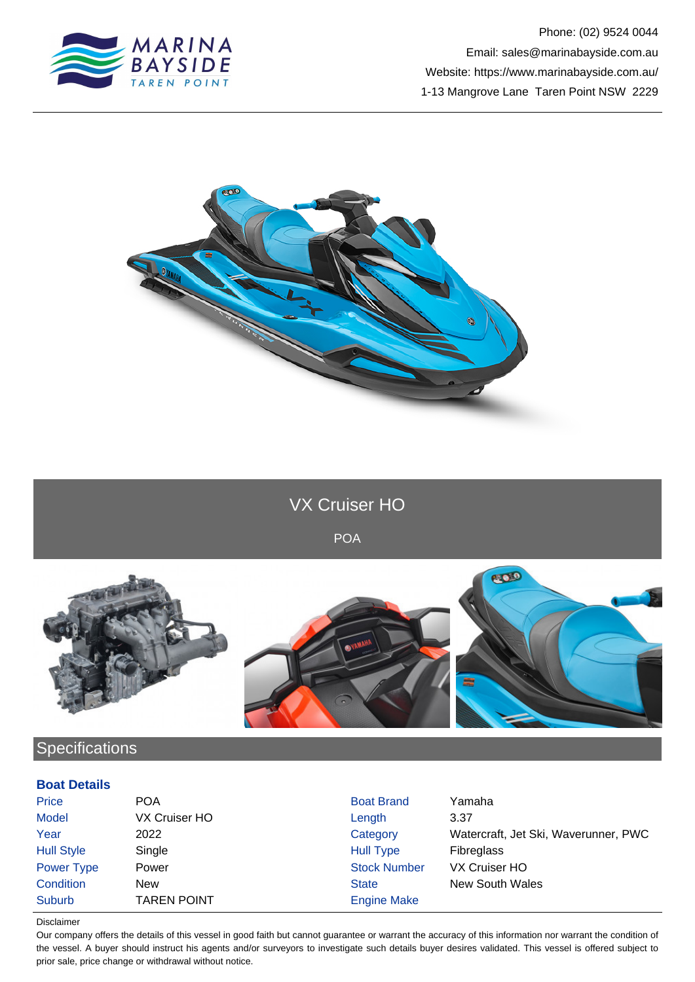



VX Cruiser HO

POA



## **Specifications**

## **Boat Details**

| Price             | <b>POA</b>         | <b>Boat Brand</b>   | Yamaha                               |
|-------------------|--------------------|---------------------|--------------------------------------|
| Model             | VX Cruiser HO      | Length              | 3.37                                 |
| Year              | 2022               | Category            | Watercraft, Jet Ski, Waverunner, PWC |
| <b>Hull Style</b> | Single             | Hull Type           | <b>Fibreglass</b>                    |
| Power Type        | Power              | <b>Stock Number</b> | VX Cruiser HO                        |
| Condition         | New                | <b>State</b>        | <b>New South Wales</b>               |
| Suburb            | <b>TAREN POINT</b> | <b>Engine Make</b>  |                                      |

Disclaimer

Our company offers the details of this vessel in good faith but cannot guarantee or warrant the accuracy of this information nor warrant the condition of the vessel. A buyer should instruct his agents and/or surveyors to investigate such details buyer desires validated. This vessel is offered subject to prior sale, price change or withdrawal without notice.